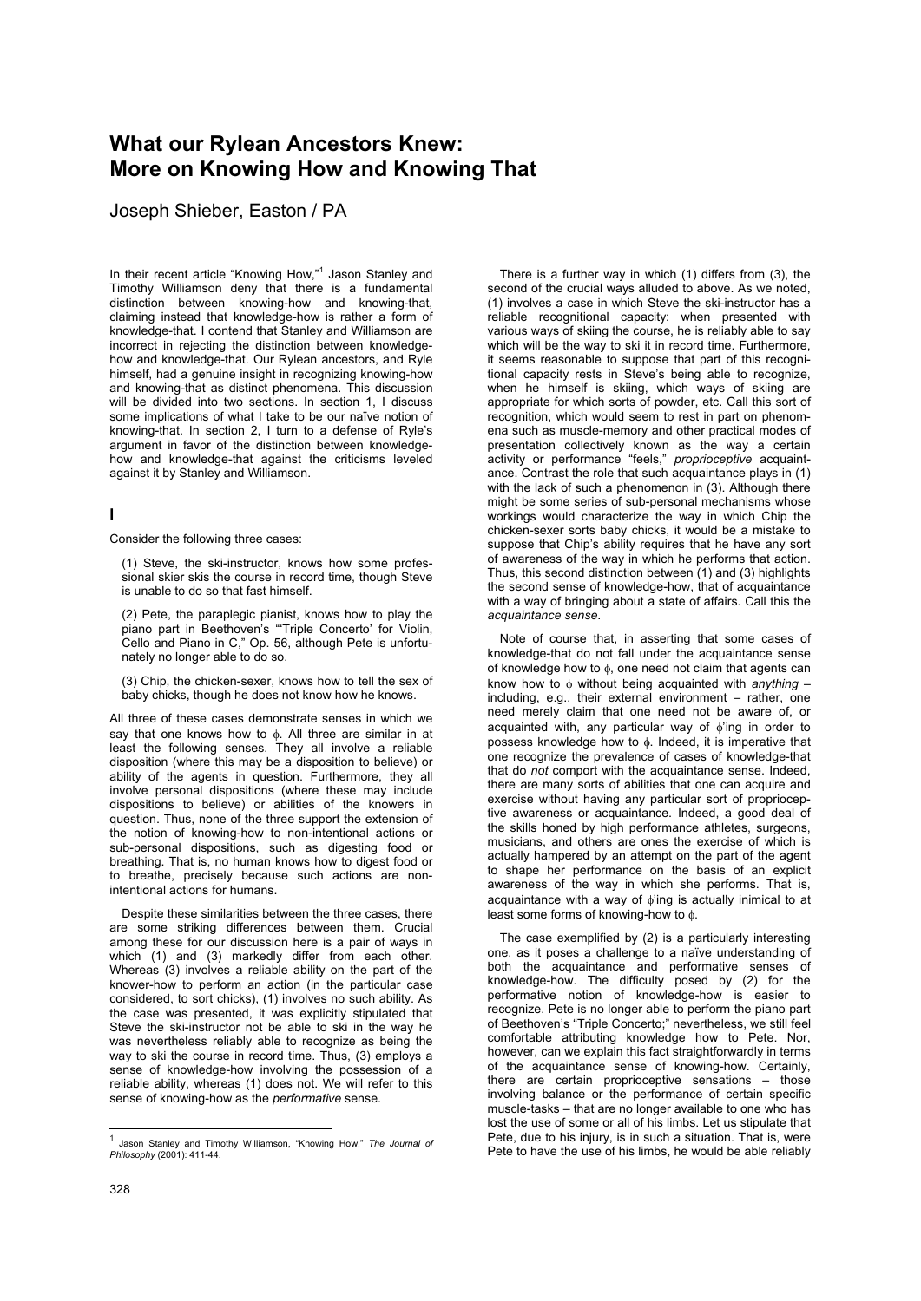## **What our Rylean Ancestors Knew: More on Knowing How and Knowing That**

Joseph Shieber, Easton / PA

In their recent article "Knowing How,"<sup>1</sup> Jason Stanley and Timothy Williamson deny that there is a fundamental distinction between knowing-how and knowing-that, claiming instead that knowledge-how is rather a form of knowledge-that. I contend that Stanley and Williamson are incorrect in rejecting the distinction between knowledgehow and knowledge-that. Our Rylean ancestors, and Ryle himself, had a genuine insight in recognizing knowing-how and knowing-that as distinct phenomena. This discussion will be divided into two sections. In section 1, I discuss some implications of what I take to be our naïve notion of knowing-that. In section 2, I turn to a defense of Ryle's argument in favor of the distinction between knowledgehow and knowledge-that against the criticisms leveled against it by Stanley and Williamson.

## **I**

Consider the following three cases:

(1) Steve, the ski-instructor, knows how some professional skier skis the course in record time, though Steve is unable to do so that fast himself.

(2) Pete, the paraplegic pianist, knows how to play the piano part in Beethoven's "'Triple Concerto' for Violin, Cello and Piano in C," Op. 56, although Pete is unfortunately no longer able to do so.

(3) Chip, the chicken-sexer, knows how to tell the sex of baby chicks, though he does not know how he knows.

All three of these cases demonstrate senses in which we say that one knows how to φ. All three are similar in at least the following senses. They all involve a reliable disposition (where this may be a disposition to believe) or ability of the agents in question. Furthermore, they all involve personal dispositions (where these may include dispositions to believe) or abilities of the knowers in question. Thus, none of the three support the extension of the notion of knowing-how to non-intentional actions or sub-personal dispositions, such as digesting food or breathing. That is, no human knows how to digest food or to breathe, precisely because such actions are nonintentional actions for humans.

Despite these similarities between the three cases, there are some striking differences between them. Crucial among these for our discussion here is a pair of ways in which (1) and (3) markedly differ from each other. Whereas (3) involves a reliable ability on the part of the knower-how to perform an action (in the particular case considered, to sort chicks), (1) involves no such ability. As the case was presented, it was explicitly stipulated that Steve the ski-instructor not be able to ski in the way he was nevertheless reliably able to recognize as being the way to ski the course in record time. Thus, (3) employs a sense of knowledge-how involving the possession of a reliable ability, whereas (1) does not. We will refer to this sense of knowing-how as the *performative* sense.

There is a further way in which (1) differs from (3), the second of the crucial ways alluded to above. As we noted, (1) involves a case in which Steve the ski-instructor has a reliable recognitional capacity: when presented with various ways of skiing the course, he is reliably able to say which will be the way to ski it in record time. Furthermore, it seems reasonable to suppose that part of this recognitional capacity rests in Steve's being able to recognize, when he himself is skiing, which ways of skiing are appropriate for which sorts of powder, etc. Call this sort of recognition, which would seem to rest in part on phenomena such as muscle-memory and other practical modes of presentation collectively known as the way a certain activity or performance "feels," *proprioceptive* acquaintance. Contrast the role that such acquaintance plays in (1) with the lack of such a phenomenon in (3). Although there might be some series of sub-personal mechanisms whose workings would characterize the way in which Chip the chicken-sexer sorts baby chicks, it would be a mistake to suppose that Chip's ability requires that he have any sort of awareness of the way in which he performs that action. Thus, this second distinction between (1) and (3) highlights the second sense of knowledge-how, that of acquaintance with a way of bringing about a state of affairs. Call this the *acquaintance sense*.

Note of course that, in asserting that some cases of knowledge-that do not fall under the acquaintance sense of knowledge how to φ, one need not claim that agents can know how to φ without being acquainted with *anything* – including, e.g., their external environment – rather, one need merely claim that one need not be aware of, or acquainted with, any particular way of φ'ing in order to possess knowledge how to φ. Indeed, it is imperative that one recognize the prevalence of cases of knowledge-that that do *not* comport with the acquaintance sense. Indeed, there are many sorts of abilities that one can acquire and exercise without having any particular sort of proprioceptive awareness or acquaintance. Indeed, a good deal of the skills honed by high performance athletes, surgeons, musicians, and others are ones the exercise of which is actually hampered by an attempt on the part of the agent to shape her performance on the basis of an explicit awareness of the way in which she performs. That is, acquaintance with a way of φ'ing is actually inimical to at least some forms of knowing-how to φ.

The case exemplified by (2) is a particularly interesting one, as it poses a challenge to a naïve understanding of both the acquaintance and performative senses of knowledge-how. The difficulty posed by (2) for the performative notion of knowledge-how is easier to recognize. Pete is no longer able to perform the piano part of Beethoven's "Triple Concerto;" nevertheless, we still feel comfortable attributing knowledge how to Pete. Nor, however, can we explain this fact straightforwardly in terms of the acquaintance sense of knowing-how. Certainly, there are certain proprioceptive sensations  $-$  those involving balance or the performance of certain specific muscle-tasks – that are no longer available to one who has lost the use of some or all of his limbs. Let us stipulate that Pete, due to his injury, is in such a situation. That is, were Pete to have the use of his limbs, he would be able reliably

 1 Jason Stanley and Timothy Williamson, "Knowing How," *The Journal of Philosophy* (2001): 411-44.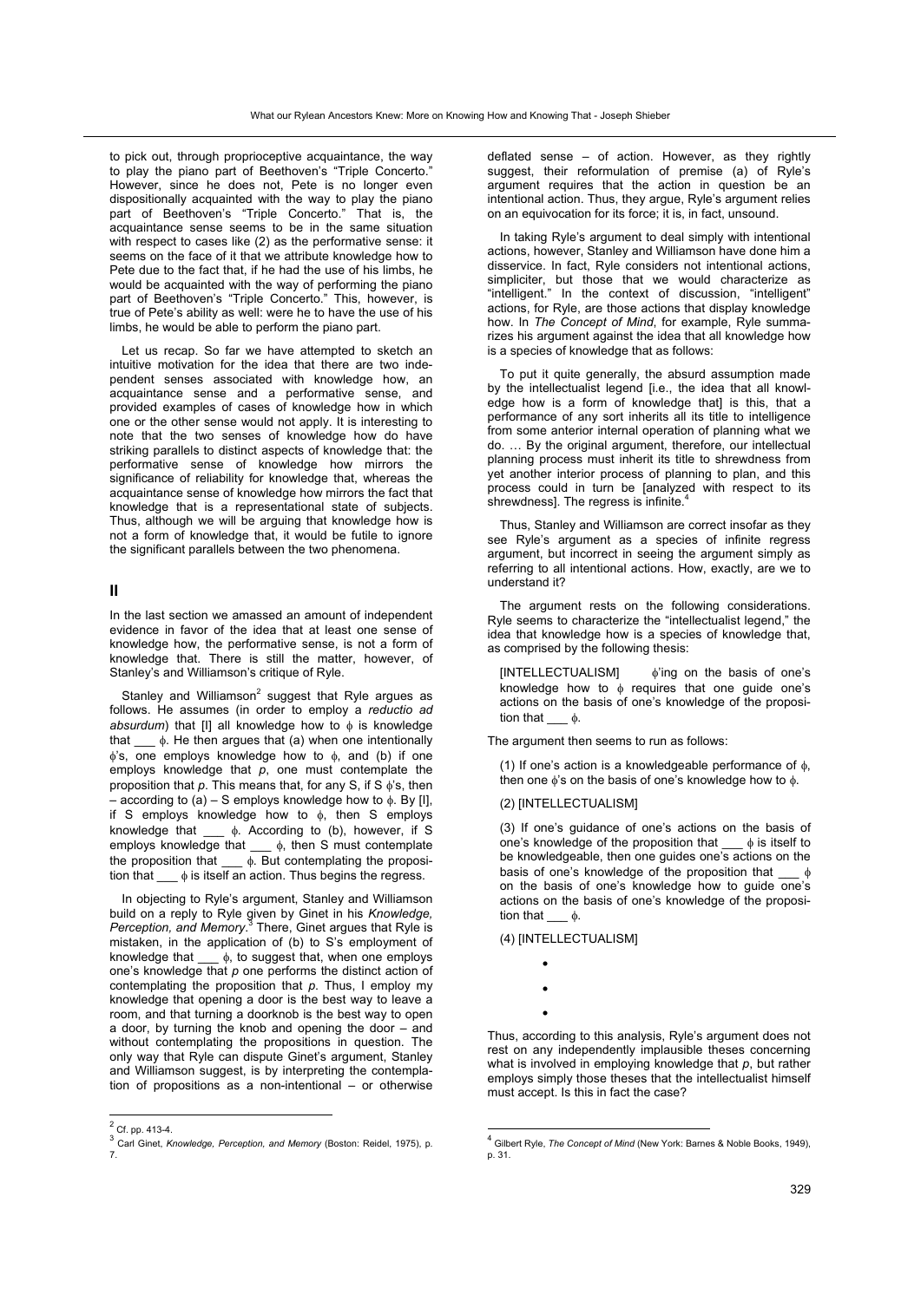to pick out, through proprioceptive acquaintance, the way to play the piano part of Beethoven's "Triple Concerto." However, since he does not, Pete is no longer even dispositionally acquainted with the way to play the piano part of Beethoven's "Triple Concerto." That is, the acquaintance sense seems to be in the same situation with respect to cases like (2) as the performative sense: it seems on the face of it that we attribute knowledge how to Pete due to the fact that, if he had the use of his limbs, he would be acquainted with the way of performing the piano part of Beethoven's "Triple Concerto." This, however, is true of Pete's ability as well: were he to have the use of his limbs, he would be able to perform the piano part.

Let us recap. So far we have attempted to sketch an intuitive motivation for the idea that there are two independent senses associated with knowledge how, an acquaintance sense and a performative sense, and provided examples of cases of knowledge how in which one or the other sense would not apply. It is interesting to note that the two senses of knowledge how do have striking parallels to distinct aspects of knowledge that: the performative sense of knowledge how mirrors the significance of reliability for knowledge that, whereas the acquaintance sense of knowledge how mirrors the fact that knowledge that is a representational state of subjects. Thus, although we will be arguing that knowledge how is not a form of knowledge that, it would be futile to ignore the significant parallels between the two phenomena.

## **II**

In the last section we amassed an amount of independent evidence in favor of the idea that at least one sense of knowledge how, the performative sense, is not a form of knowledge that. There is still the matter, however, of Stanley's and Williamson's critique of Ryle.

Stanley and Williamson $^2$  suggest that Ryle argues as follows. He assumes (in order to employ a *reductio ad*  absurdum) that [I] all knowledge how to φ is knowledge that  $\_\_\phi$ . He then argues that (a) when one intentionally  $φ's$ , one employs knowledge how to  $φ$ , and (b) if one employs knowledge that *p*, one must contemplate the proposition that *p*. This means that, for any S, if S φ's, then – according to (a) – S employs knowledge how to φ. By [I], if S employs knowledge how to  $\phi$ , then S employs knowledge that \_\_\_ φ. According to (b), however, if S employs knowledge that \_\_\_ φ, then S must contemplate the proposition that  $\_\_\phi$ . But contemplating the proposition that  $\phi$  is itself an action. Thus begins the regress.

In objecting to Ryle's argument, Stanley and Williamson build on a reply to Ryle given by Ginet in his *Knowledge,*  Perception, and Memory.<sup>3</sup> There, Ginet argues that Ryle is mistaken, in the application of (b) to S's employment of knowledge that  $\_\_\phi$ , to suggest that, when one employs one's knowledge that *p* one performs the distinct action of contemplating the proposition that *p*. Thus, I employ my knowledge that opening a door is the best way to leave a room, and that turning a doorknob is the best way to open a door, by turning the knob and opening the door – and without contemplating the propositions in question. The only way that Ryle can dispute Ginet's argument, Stanley and Williamson suggest, is by interpreting the contemplation of propositions as a non-intentional – or otherwise

deflated sense – of action. However, as they rightly suggest, their reformulation of premise (a) of Ryle's argument requires that the action in question be an intentional action. Thus, they argue, Ryle's argument relies on an equivocation for its force; it is, in fact, unsound.

In taking Ryle's argument to deal simply with intentional actions, however, Stanley and Williamson have done him a disservice. In fact, Ryle considers not intentional actions, simpliciter, but those that we would characterize as "intelligent." In the context of discussion, "intelligent" actions, for Ryle, are those actions that display knowledge how. In *The Concept of Mind*, for example, Ryle summarizes his argument against the idea that all knowledge how is a species of knowledge that as follows:

To put it quite generally, the absurd assumption made by the intellectualist legend [i.e., the idea that all knowledge how is a form of knowledge that] is this, that a performance of any sort inherits all its title to intelligence from some anterior internal operation of planning what we do. … By the original argument, therefore, our intellectual planning process must inherit its title to shrewdness from yet another interior process of planning to plan, and this process could in turn be [analyzed with respect to its shrewdness]. The regress is infinite.<sup>4</sup>

Thus, Stanley and Williamson are correct insofar as they see Ryle's argument as a species of infinite regress argument, but incorrect in seeing the argument simply as referring to all intentional actions. How, exactly, are we to understand it?

The argument rests on the following considerations. Ryle seems to characterize the "intellectualist legend," the idea that knowledge how is a species of knowledge that, as comprised by the following thesis:

[INTELLECTUALISM] φ'ing on the basis of one's knowledge how to  $\phi$  requires that one guide one's actions on the basis of one's knowledge of the proposition that  $\phi$ .

The argument then seems to run as follows:

(1) If one's action is a knowledgeable performance of  $\phi$ , then one  $\phi$ 's on the basis of one's knowledge how to  $\phi$ .

## (2) [INTELLECTUALISM]

(3) If one's guidance of one's actions on the basis of one's knowledge of the proposition that  $\phi$  is itself to one's knowledge of the proposition that be knowledgeable, then one guides one's actions on the basis of one's knowledge of the proposition that  $-\phi$ on the basis of one's knowledge how to guide one's actions on the basis of one's knowledge of the proposition that  $\qquad \phi$ .

(4) [INTELLECTUALISM]

- •
- 
- •

Thus, according to this analysis, Ryle's argument does not rest on any independently implausible theses concerning what is involved in employing knowledge that *p*, but rather employs simply those theses that the intellectualist himself must accept. Is this in fact the case?

 $\frac{2}{2}$  Cf. pp. 413-4.

<sup>&</sup>lt;sup>3</sup> Carl Ginet, *Knowledge, Perception, and Memory* (Boston: Reidel, 1975), p.<br>7.

 4 Gilbert Ryle, *The Concept of Mind* (New York: Barnes & Noble Books, 1949), p. 31.